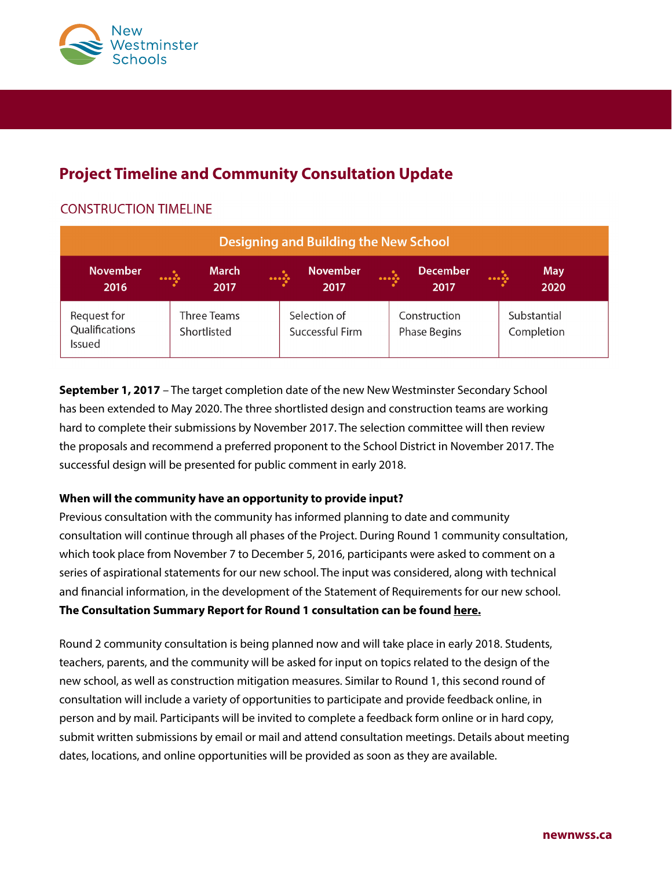

# **Project Timeline and Community Consultation Update**

# **CONSTRUCTION TIMELINE**

| Designing and Building the New School   |  |                            |           |                                 |  |                                     |  |                           |
|-----------------------------------------|--|----------------------------|-----------|---------------------------------|--|-------------------------------------|--|---------------------------|
| November<br>2016                        |  | <b>March</b><br>2017       | $\ddotsc$ | <b>November</b><br>2017         |  | <b>December</b><br>2017             |  | <b>May</b><br>2020        |
| Request for<br>Qualifications<br>Issued |  | Three Teams<br>Shortlisted |           | Selection of<br>Successful Firm |  | Construction<br><b>Phase Begins</b> |  | Substantial<br>Completion |

**September 1, 2017** – The target completion date of the new New Westminster Secondary School has been extended to May 2020. The three shortlisted design and construction teams are working hard to complete their submissions by November 2017. The selection committee will then review the proposals and recommend a preferred proponent to the School District in November 2017. The successful design will be presented for public comment in early 2018.

### **When will the community have an opportunity to provide input?**

Previous consultation with the community has informed planning to date and community consultation will continue through all phases of the Project. During Round 1 community consultation, which took place from November 7 to December 5, 2016, participants were asked to comment on a series of aspirational statements for our new school. The input was considered, along with technical and financial information, in the development of the Statement of Requirements for our new school. **The Consultation Summary Report for Round 1 consultation can be found [here.](https://newwestschools.ca/nwss-replacement-project/community-consultation/)**

Round 2 community consultation is being planned now and will take place in early 2018. Students, teachers, parents, and the community will be asked for input on topics related to the design of the new school, as well as construction mitigation measures. Similar to Round 1, this second round of consultation will include a variety of opportunities to participate and provide feedback online, in person and by mail. Participants will be invited to complete a feedback form online or in hard copy, submit written submissions by email or mail and attend consultation meetings. Details about meeting dates, locations, and online opportunities will be provided as soon as they are available.